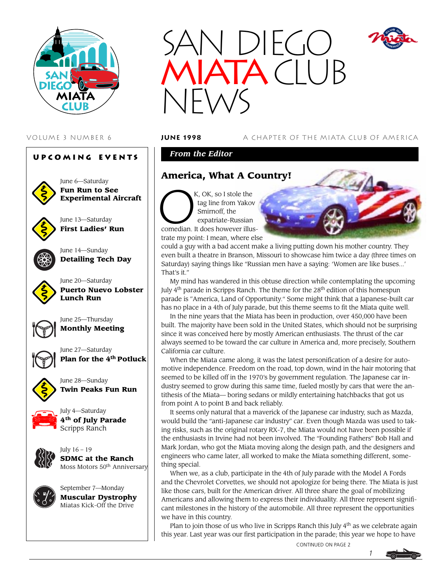





June 6—Saturday **Fun Run to See Experimental Aircraft**

June 13—Saturday **First Ladies' Run**



June 14—Sunday **Detailing Tech Day**



June 20—Saturday **Puerto Nuevo Lobster Lunch Run**



June 25—Thursday **Monthly Meeting**



June 27—Saturday **Plan for the 4th Potluck**

**Twin Peaks Fun Run**



July 4—Saturday **4th of July Parade**

June 28—Sunday

Scripps Ranch



July 16 – 19 **SDMC at the Ranch** Moss Motors 50th Anniversary



 $\bigcup$  $TA$  $(T|T)$ NEWS

VOLUME 3 NUMBER 6 **june 1998** A CHAPTER OF THE MIATA CLUB OF AMERICA

*From the Editor*

# **America, What A Country!**

O<sup>'</sup> K, OK, so I stole the tag line from Yakov Smirnoff, the expatriate-Russian comedian. It does however illustrate my point: I mean, where else



could a guy with a bad accent make a living putting down his mother country. They even built a theatre in Branson, Missouri to showcase him twice a day (three times on Saturday) saying things like "Russian men have a saying: 'Women are like buses...' That's it."

My mind has wandered in this obtuse direction while contemplating the upcoming July  $4<sup>th</sup>$  parade in Scripps Ranch. The theme for the  $28<sup>th</sup>$  edition of this homespun parade is "America, Land of Opportunity." Some might think that a Japanese-built car has no place in a 4th of July parade, but this theme seems to fit the Miata quite well.

In the nine years that the Miata has been in production, over 450,000 have been built. The majority have been sold in the United States, which should not be surprising since it was conceived here by mostly American enthusiasts. The thrust of the car always seemed to be toward the car culture in America and, more precisely, Southern California car culture.

When the Miata came along, it was the latest personification of a desire for automotive independence. Freedom on the road, top down, wind in the hair motoring that seemed to be killed off in the 1970's by government regulation. The Japanese car industry seemed to grow during this same time, fueled mostly by cars that were the antithesis of the Miata— boring sedans or mildly entertaining hatchbacks that got us from point A to point B and back reliably.

It seems only natural that a maverick of the Japanese car industry, such as Mazda, would build the "anti-Japanese car industry" car. Even though Mazda was used to taking risks, such as the original rotary RX-7, the Miata would not have been possible if the enthusiasts in Irvine had not been involved. The "Founding Fathers" Bob Hall and Mark Jordan, who got the Miata moving along the design path, and the designers and engineers who came later, all worked to make the Miata something different, something special.

When we, as a club, participate in the 4th of July parade with the Model A Fords and the Chevrolet Corvettes, we should not apologize for being there. The Miata is just like those cars, built for the American driver. All three share the goal of mobilizing Americans and allowing them to express their individuality. All three represent significant milestones in the history of the automobile. All three represent the opportunities we have in this country.

Plan to join those of us who live in Scripps Ranch this July  $4<sup>th</sup>$  as we celebrate again this year. Last year was our first participation in the parade; this year we hope to have



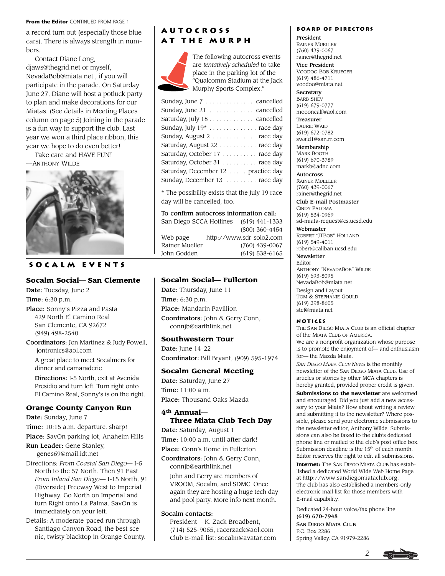#### From the Editor CONTINUED FROM PAGE 1

a record turn out (especially those blue cars). There is always strength in numbers.

Contact Diane Long, djaws@thegrid.net or myself, NevadaBob@miata.net , if you will participate in the parade. On Saturday June 27, Diane will host a potluck party to plan and make decorations for our Miatas. (See details in Meeting Places column on page 5) Joining in the parade is a fun way to support the club. Last year we won a third place ribbon, this year we hope to do even better!

Take care and HAVE FUN! —ANTHONY WILDE



## **Socalm events**

#### **Socalm Social— San Clemente**

Date: Tuesday, June 2 Time: 6:30 p.m.

Place: Sonny's Pizza and Pasta 429 North El Camino Real San Clemente, CA 92672 (949) 498-2540

Coordinators: Jon Martinez & Judy Powell, jontronics@aol.com A great place to meet Socalmers for dinner and camaraderie.

Directions: I-5 North, exit at Avenida Presidio and turn left. Turn right onto El Camino Real, Sonny's is on the right.

#### **Orange County Canyon Run**

Date: Sunday, June 7

Time: 10:15 a.m. departure, sharp!

Place: SavOn parking lot, Anaheim Hills

Run Leader: Gene Stanley, genes69@mail.idt.net

Directions: *From Coastal San Diego*— I-5 North to the 57 North. Then 91 East. *From Inland San Diego*— I-15 North, 91 (Riverside) Freeway West to Imperial Highway. Go North on Imperial and turn Right onto La Palma. SavOn is immediately on your left.

Details: A moderate-paced run through Santiago Canyon Road, the best scenic, twisty blacktop in Orange County.

# **Autocross at the Murph**



The following autocross events are *tentatively scheduled* to take place in the parking lot of the "Qualcomm Stadium at the Jack Murphy Sports Complex."

| Sunday, June 7 cancelled              |
|---------------------------------------|
| Sunday, June 21 cancelled             |
| Saturday, July 18 cancelled           |
| Sunday, July 19 <sup>*</sup> race day |
| Sunday, August 2  race day            |
| Saturday, August 22 race day          |
| Saturday, October 17 race day         |
| Saturday, October 31 race day         |
| Saturday, December 12 practice day    |
| Sunday, December 13 race day          |
|                                       |

\* The possibility exists that the July 19 race day will be cancelled, too.

#### To confirm autocross information call:

| San Diego SCCA Hotlines |  | $(619)$ 441-1333         |
|-------------------------|--|--------------------------|
|                         |  | (800) 360-4454           |
| Web page                |  | http://www.sdr-solo2.com |
| Rainer Mueller          |  | $(760)$ 439-0067         |
| John Godden             |  | $(619)$ 538-6165         |

### **Socalm Social— Fullerton**

Date: Thursday, June 11 Time: 6:30 p.m. Place: Mandarin Pavillion Coordinators: John & Gerry Conn, connjb@earthlink.net

#### **Southwestern Tour**

Date: June 14–22 Coordinator: Bill Bryant, (909) 595-1974

#### **Socalm General Meeting**

Date: Saturday, June 27 Time: 11:00 a.m. Place: Thousand Oaks Mazda

## **4th Annual— Three Miata Club Tech Day**

Date: Saturday, August 1 Time: 10:00 a.m. until after dark! Place: Conn's Home in Fullerton

Coordinators: John & Gerry Conn, connjb@earthlink.net

John and Gerry are members of VROOM, Socalm, and SDMC. Once again they are hosting a huge tech day and pool party. More info next month.

#### Socalm contacts:

President— K. Zack Broadbent, (714) 525-9065, racerzack@aol.com Club E-mail list: socalm@avatar.com

#### **Board of Directors**

President RAINER MUELLER (760) 439-0067 rainer@thegrid.net Vice President

VOODOO BOB KRUEGER (619) 486-4711 voodoo@miata.net

**Secretary** BARB SHEV (619) 679-0777 moooncalf@aol.com

Treasurer LAURIE WAID (619) 672-0782 swaid1@san.rr.com

Membership MARK BOOTH (619) 670-3789 markb@adnc.com

**Autocross** RAINER MUELLER (760) 439-0067 rainer@thegrid.net

Club E-mail Postmaster

CINDY PALOMA (619) 534-0969 sd-miata-request@cs.ucsd.edu Webmaster

ROBERT "JTBOB" HOLLAND (619) 549-4011 robert@caliban.ucsd.edu

Newsletter Editor

ANTHONY "NEVADABOB" WILDE (619) 693-8095 NevadaBob@miata.net Design and Layout TOM & STEPHANIE GOULD (619) 298-8605

stef@miata.net

#### **Notices**

THE SAN DIEGO MIATA CLUB is an official chapter of the MIATA CLUB OF AMERICA. We are a nonprofit organization whose purpose is to promote the enjoyment of— and enthusiasm for— the Mazda Miata.

*SAN DIEGO MIATA CLUB NEWS* is the monthly newsletter of the SAN DIEGO MIATA CLUB. Use of articles or stories by other MCA chapters is hereby granted, provided proper credit is given.

**Submissions to the newsletter** are welcomed and encouraged. Did you just add a new accessory to your Miata? How about writing a review and submitting it to the newsletter? Where possible, please send your electronic submissions to the newsletter editor, Anthony Wilde. Submissions can also be faxed to the club's dedicated phone line or mailed to the club's post office box. Submission deadline is the 15<sup>th</sup> of each month. Editor reserves the right to edit all submissions.

**Internet:** The SAN DIEGO MIATA CLUB has established a dedicated World Wide Web Home Page at http://www.sandiegomiataclub.org. The club has also established a members-only electronic mail list for those members with E-mail capability.

Dedicated 24-hour voice/fax phone line: (619) 670-7948

SAN DIEGO MIATA CLUB P.O. Box 2286 Spring Valley, CA 91979-2286

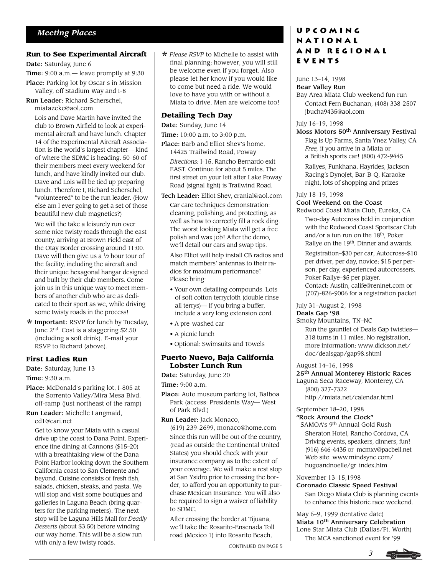#### **Run to See Experimental Aircraft**

Date: Saturday, June 6

Time: 9:00 a.m.— leave promptly at 9:30

- Place: Parking lot by Oscar's in Mission Valley, off Stadium Way and I-8
- Run Leader: Richard Scherschel,

miatazeke@aol.com

Lois and Dave Martin have invited the club to Brown Airfield to look at experimental aircraft and have lunch. Chapter 14 of the Experimental Aircraft Association is the world's largest chapter— kind of where the SDMC is heading. 50–60 of their members meet every weekend for lunch, and have kindly invited our club. Dave and Lois will be tied up preparing lunch. Therefore I, Richard Scherschel, "volunteered" to be the run leader. (How else am I ever going to get a set of those beautiful new club magnetics?)

We will the take a leisurely run over some nice twisty roads through the east county, arriving at Brown Field east of the Otay Border crossing around 11:00. Dave will then give us a  $\frac{1}{2}$  hour tour of the facility, including the aircraft and their unique hexagonal hangar designed and built by their club members. Come join us in this unique way to meet members of another club who are as dedicated to their sport as we, while driving some twisty roads in the process!

\*Important: RSVP for lunch by Tuesday, June 2nd. Cost is a staggering \$2.50 (including a soft drink). E-mail your RSVP to Richard (above).

#### **First Ladies Run**

Date: Saturday, June 13 Time: 9:30 a.m.

Place: McDonald's parking lot, I-805 at the Sorrento Valley/Mira Mesa Blvd. off-ramp (just northeast of the ramp)

Run Leader: Michelle Langmaid,

ed1@cari.net

Get to know your Miata with a casual drive up the coast to Dana Point. Experience fine dining at Cannons (\$15–20) with a breathtaking view of the Dana Point Harbor looking down the Southern California coast to San Clemente and beyond. Cuisine consists of fresh fish, salads, chicken, steaks, and pasta. We will stop and visit some boutiques and galleries in Laguna Beach (bring quarters for the parking meters). The next stop will be Laguna Hills Mall for *Deadly Desserts* (about \$3.50) before winding our way home. This will be a slow run with only a few twisty roads.

\* *Please RSVP* to Michelle to assist with final planning; however, you will still be welcome even if you forget. Also please let her know if you would like to come but need a ride. We would love to have you with or without a Miata to drive. Men are welcome too!

## **Detailing Tech Day**

Date: Sunday, June 14

Time: 10:00 a.m. to 3:00 p.m.

Place: Barb and Elliot Shev's home, 14425 Trailwind Road, Poway

*Directions:* I-15, Rancho Bernardo exit EAST. Continue for about 5 miles. The first street on your left after Lake Poway Road (signal light) is Trailwind Road.

Tech Leader: Elliot Shev, cranial@aol.com

Car care techniques demonstration: cleaning, polishing, and protecting, as well as how to correctly fill a rock ding. The worst looking Miata will get a free polish and wax job! After the demo, we'll detail our cars and swap tips.

Also Elliot will help install CB radios and match members' antennas to their radios for maximum performance! Please bring:

- Your own detailing compounds. Lots of soft cotton terrycloth (double rinse all terrys)— If you bring a buffer, include a very long extension cord.
- A pre-washed car
- A picnic lunch
- Optional: Swimsuits and Towels

#### **Puerto Nuevo, Baja California Lobster Lunch Run**

Date: Saturday, June 20

Time: 9:00 a.m.

- Place: Auto museum parking lot, Balboa Park (access: Presidents Way— West of Park Blvd.)
- Run Leader: Jack Monaco,

(619) 239-2699, monaco@home.com Since this run will be out of the country, (read as outside the Continental United States) you should check with your insurance company as to the extent of your coverage. We will make a rest stop at San Ysidro prior to crossing the border, to afford you an opportunity to purchase Mexican Insurance. You will also be required to sign a waiver of liability to SDMC.

After crossing the border at Tijuana, we'll take the Rosarito-Ensenada Toll road (Mexico 1) into Rosarito Beach,

## **Upcoming National and Regional Events**

# June 13–14, 1998

Bear Valley Run Bay Area Miata Club weekend fun run Contact Fern Buchanan, (408) 338-2507 jbucha9435@aol.com

### July 16–19, 1998

Moss Motors 50th Anniversary Festival

Flag Is Up Farms, Santa Ynez Valley, CA *Free,* if you arrive in a Miata or a British sports car! (800) 472-9445

Rallyes, Funkhana, Hayrides, Jackson Racing's DynoJet, Bar-B-Q, Karaoke night, lots of shopping and prizes

July 18–19, 1998

### Cool Weekend on the Coast

Redwood Coast Miata Club, Eureka, CA Two-day Autocross held in conjunction with the Redwood Coast Sportscar Club and/or a fun run on the  $18<sup>th</sup>$ , Poker Rallye on the 19<sup>th</sup>. Dinner and awards.

Registration–\$30 per car, Autocross–\$10 per driver, per day, novice; \$15 per person, per day, experienced autocrossers. Poker Rallye–\$5 per player. Contact: Austin, calife@reninet.com or

(707)-826-9006 for a registration packet

July 31–August 2, 1998

## Deals Gap '98

Smoky Mountains, TN–NC

Run the gauntlet of Deals Gap twisties— 318 turns in 11 miles. No registration, more information: www.dickson.net/ doc/dealsgap/gap98.shtml

## August 14–16, 1998

25th Annual Monterey Historic Races Laguna Seca Raceway, Monterey, CA (800) 327-7322 http://miata.net/calendar.html

## September 18–20, 1998

"Rock Around the Clock" SAMOA's 9th Annual Gold Rush Sheraton Hotel, Rancho Cordova, CA Driving events, speakers, dinners, fun! (916) 646-4435 or mcmxv@pacbell.net Web site: www.mindsync.com/ hugoandnoelle/gr\_index.htm

November 13–15,1998

## Coronado Classic Speed Festival

San Diego Miata Club is planning events to enhance this historic race weekend.

May 6–9, 1999 (tentative date) Miata 10<sup>th</sup> Anniversary Celebration Lone Star Miata Club (Dallas/Ft. Worth) The MCA sanctioned event for '99

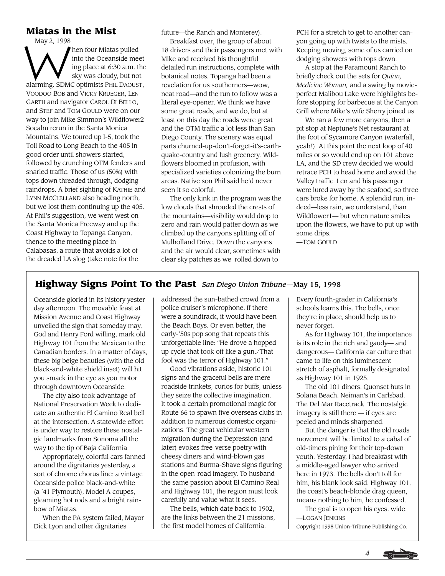## **Miatas in the Mist**

 $\bigvee^{\text{May }2,1998}$ hen four Miatas pulled into the Oceanside meeting place at 6:30 a.m. the sky was cloudy, but not alarming. SDMC optimists PHIL DAOUST, VOODOO BOB and VICKY KRUEGER, LEN GARTH and navigator CAROL DI BELLO, and STEF and TOM GOULD were on our way to join Mike Simmon's Wildflower2 Socalm rerun in the Santa Monica Mountains. We toured up I-5, took the Toll Road to Long Beach to the 405 in good order until showers started, followed by crunching OTM fenders and snarled traffic. Those of us (50%) with tops down threaded through, dodging raindrops. A brief sighting of KATHIE and LYNN MCCLELLAND also heading north, but we lost them continuing up the 405. At Phil's suggestion, we went west on the Santa Monica Freeway and up the Coast Highway to Topanga Canyon, thence to the meeting place in Calabasas, a route that avoids a lot of the dreaded LA slog (take note for the

future—the Ranch and Monterey).

Breakfast over, the group of about 18 drivers and their passengers met with Mike and received his thoughtful detailed run instructions, complete with botanical notes. Topanga had been a revelation for us southerners—wow, neat road—and the run to follow was a literal eye-opener. We think we have some great roads, and we do, but at least on this day the roads were great and the OTM traffic a lot less than San Diego County. The scenery was equal parts churned-up-don't-forget-it's-earthquake-country and lush greenery. Wildflowers bloomed in profusion, with specialized varieties colonizing the burn areas. Native son Phil said he'd never seen it so colorful.

The only kink in the program was the low clouds that shrouded the crests of the mountains—visibility would drop to zero and rain would patter down as we climbed up the canyons splitting off of Mulholland Drive. Down the canyons and the air would clear, sometimes with clear sky patches as we rolled down to

PCH for a stretch to get to another canyon going up with twists to the mists. Keeping moving, some of us carried on dodging showers with tops down.

A stop at the Paramount Ranch to briefly check out the sets for *Quinn, Medicine Woman,* and a swing by movieperfect Malibou Lake were highlights before stopping for barbecue at the Canyon Grill where Mike's wife Sherry joined us.

We ran a few more canyons, then a pit stop at Neptune's Net restaurant at the foot of Sycamore Canyon (waterfall, yeah!). At this point the next loop of 40 miles or so would end up on 101 above LA, and the SD crew decided we would retrace PCH to head home and avoid the Valley traffic. Len and his passenger were lured away by the seafood, so three cars broke for home. A splendid run, indeed—less rain, we understand, than Wildflower1— but when nature smiles upon the flowers, we have to put up with some drips.

—TOM GOULD

# **Highway Signs Point To the Past** *San Diego Union Tribune*—May 15, 1998

Oceanside gloried in its history yesterday afternoon. The movable feast at Mission Avenue and Coast Highway unveiled the sign that someday may, God and Henry Ford willing, mark old Highway 101 from the Mexican to the Canadian borders. In a matter of days, these big beige beauties (with the old black-and-white shield inset) will hit you smack in the eye as you motor through downtown Oceanside.

The city also took advantage of National Preservation Week to dedicate an authentic El Camino Real bell at the intersection. A statewide effort is under way to restore these nostalgic landmarks from Sonoma all the way to the tip of Baja California.

Appropriately, colorful cars fanned around the dignitaries yesterday, a sort of chrome chorus line: a vintage Oceanside police black-and-white (a '41 Plymouth), Model A coupes, gleaming hot rods and a bright rainbow of Miatas.

When the PA system failed, Mayor Dick Lyon and other dignitaries

addressed the sun-bathed crowd from a police cruiser's microphone. If there were a soundtrack, it would have been the Beach Boys. Or even better, the early-'50s pop song that repeats this unforgettable line: "He drove a hoppedup cycle that took off like a gun./That fool was the terror of Highway 101."

Good vibrations aside, historic 101 signs and the graceful bells are mere roadside trinkets, curios for buffs, unless they seize the collective imagination. It took a certain promotional magic for Route 66 to spawn five overseas clubs in addition to numerous domestic organizations. The great vehicular western migration during the Depression (and later) evokes free-verse poetry with cheesy diners and wind-blown gas stations and Burma-Shave signs figuring in the open-road imagery. To husband the same passion about El Camino Real and Highway 101, the region must look carefully and value what it sees.

The bells, which date back to 1902, are the links between the 21 missions, the first model homes of California.

Every fourth-grader in California's schools learns this. The bells, once they're in place, should help us to never forget.

As for Highway 101, the importance is its role in the rich and gaudy— and dangerous— California car culture that came to life on this luminescent stretch of asphalt, formally designated as Highway 101 in 1925.

The old 101 diners. Quonset huts in Solana Beach. Neiman's in Carlsbad. The Del Mar Racetrack. The nostalgic imagery is still there — if eyes are peeled and minds sharpened.

But the danger is that the old roads movement will be limited to a cabal of old-timers pining for their top-down youth. Yesterday, I had breakfast with a middle-aged lawyer who arrived here in 1973. The bells don't toll for him, his blank look said. Highway 101, the coast's beach-blonde drag queen, means nothing to him, he confessed.

The goal is to open his eyes, wide. —LOGAN JENKINS

Copyright 1998 Union-Tribune Publishing Co.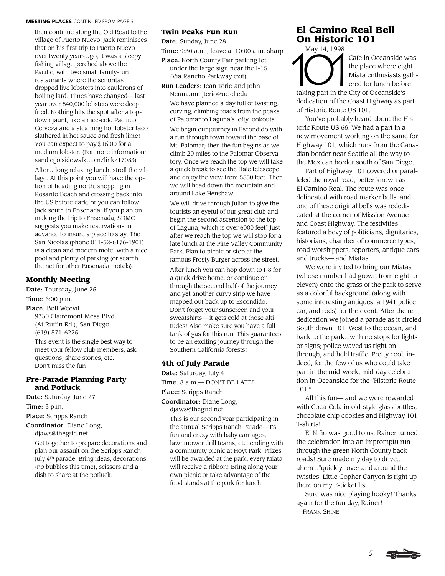#### MEETING PLACES CONTINUED FROM PAGE 3

then continue along the Old Road to the village of Puerto Nuevo. Jack reminisces that on his first trip to Puerto Nuevo over twenty years ago, it was a sleepy fishing village perched above the Pacific, with two small family-run restaurants where the señoritas dropped live lobsters into cauldrons of boiling lard. Times have changed— last year over 840,000 lobsters were deep fried. Nothing hits the spot after a topdown jaunt, like an ice-cold Pacifico Cerveza and a steaming hot lobster taco slathered in hot sauce and fresh lime! You can expect to pay \$16.00 for a medium lobster. (For more information: sandiego.sidewalk.com/link/17083)

After a long relaxing lunch, stroll the village. At this point you will have the option of heading north, shopping in Rosarito Beach and crossing back into the US before dark, or you can follow Jack south to Ensenada. If you plan on making the trip to Ensenada, SDMC suggests you make reservations in advance to insure a place to stay. The San Nicolas (phone 011-52-6176-1901) is a clean and modern motel with a nice pool and plenty of parking (or search the net for other Ensenada motels).

#### **Monthly Meeting**

Date: Thursday, June 25 Time: 6:00 p.m. Place: Boll Weevil 9330 Clairemont Mesa Blvd. (At Ruffin Rd.), San Diego (619) 571-6225

This event is the single best way to meet your fellow club members, ask questions, share stories, etc. Don't miss the fun!

#### **Pre-Parade Planning Party and Potluck**

Date: Saturday, June 27

Time: 3 p.m.

Place: Scripps Ranch

Coordinator: Diane Long,

djaws@thegrid.net

Get together to prepare decorations and plan our assault on the Scripps Ranch July 4th parade. Bring ideas, decorations (no bubbles this time), scissors and a dish to share at the potluck.

#### **Twin Peaks Fun Run**

Date: Sunday, June 28

Time: 9:30 a.m., leave at 10:00 a.m. sharp

- Place: North County Fair parking lot under the large sign near the I-15 (Via Rancho Parkway exit).
- Run Leaders: Jean Terio and John Neumann, jterio@ucsd.edu

We have planned a day full of twisting, curving, climbing roads from the peaks of Palomar to Laguna's lofty lookouts.

We begin our journey in Escondido with a run through town toward the base of Mt. Palomar; then the fun begins as we climb 20 miles to the Palomar Observatory. Once we reach the top we will take a quick break to see the Hale telescope and enjoy the view from 5550 feet. Then we will head down the mountain and around Lake Henshaw.

We will drive through Julian to give the tourists an eyeful of our great club and begin the second ascension to the top of Laguna, which is over 6000 feet! Just after we reach the top we will stop for a late lunch at the Pine Valley Community Park. Plan to picnic or stop at the famous Frosty Burger across the street.

After lunch you can hop down to I-8 for a quick drive home, or continue on through the second half of the journey and yet another curvy strip we have mapped out back up to Escondido. Don't forget your sunscreen and your sweatshirts —it gets cold at those altitudes! Also make sure you have a full tank of gas for this run. This guarantees to be an exciting journey through the Southern California forests!

#### **4th of July Parade**

Date: Saturday, July 4 Time: 8 a.m.— DON'T BE LATE!

Place: Scripps Ranch

Coordinator: Diane Long, djaws@thegrid.net

This is our second year participating in the annual Scripps Ranch Parade—it's fun and crazy with baby carriages, lawnmower drill teams, etc. ending with a community picnic at Hoyt Park. Prizes will be awarded at the park, every Miata will receive a ribbon! Bring along your own picnic or take advantage of the food stands at the park for lunch.

# **El Camino Real Bell On Historic 101**

May 14, 1998 May 14, 1998

Cafe in Oceanside was the place where eight Miata enthusiasts gathered for lunch before

taking part in the City of Oceanside's dedication of the Coast Highway as part of Historic Route US 101.

You've probably heard about the Historic Route US 66. We had a part in a new movement working on the same for Highway 101, which runs from the Canadian border near Seattle all the way to the Mexican border south of San Diego.

Part of Highway 101 covered or paralleled the royal road, better known as El Camino Real. The route was once delineated with road marker bells, and one of these original bells was rededicated at the corner of Mission Avenue and Coast Highway. The festivities featured a bevy of politicians, dignitaries, historians, chamber of commerce types, road worshippers, reporters, antique cars and trucks— and Miatas.

We were invited to bring our Miatas (whose number had grown from eight to eleven) onto the grass of the park to serve as a colorful background (along with some interesting antiques, a 1941 police car, and rods) for the event. After the rededication we joined a parade as it circled South down 101, West to the ocean, and back to the park...with no stops for lights or signs; police waved us right on through, and held traffic. Pretty cool, indeed, for the few of us who could take part in the mid-week, mid-day celebration in Oceanside for the "Historic Route  $101$  "

All this fun— and we were rewarded with Coca-Cola in old-style glass bottles, chocolate chip cookies and Highway 101 T-shirts!

El Niño was good to us. Rainer turned the celebration into an impromptu run through the green North County backroads! Sure made my day to drive... ahem..."quickly" over and around the twisties. Little Gopher Canyon is right up there on my E-ticket list.

Sure was nice playing hooky! Thanks again for the fun day, Rainer! —FRANK SHINE

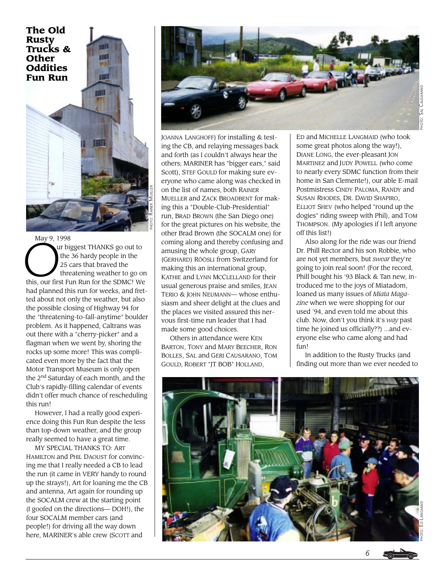

 $\sum_{t=1}^{(x)}$ May 9, 1998 ur biggest THANKS go out to the 36 hardy people in the 25 cars that braved the threatening weather to go on this, our first Fun Run for the SDMC! We had planned this run for weeks, and fretted about not only the weather, but also the possible closing of Highway 94 for the "threatening-to-fall-anytime" boulder problem. As it happened, Caltrans was out there with a "cherry-picker" and a flagman when we went by, shoring the rocks up some more! This was complicated even more by the fact that the Motor Transport Museum is only open the 2nd Saturday of each month, and the Club's rapidly-filling calendar of events didn't offer much chance of rescheduling this run!

However, I had a really good experience doing this Fun Run despite the less than top-down weather, and the group really seemed to have a great time.

MY SPECIAL THANKS TO: ART HAMILTON and PHIL DAOUST for convincing me that I really needed a CB to lead the run (it came in VERY handy to round up the strays!), Art for loaning me the CB and antenna, Art again for rounding up the SOCALM crew at the starting point (I goofed on the directions— DOH!), the four SOCALM member cars (and people!) for driving all the way down here, MARINER's able crew (SCOTT and



JOANNA LANGHOFF) for installing & testing the CB, and relaying messages back and forth (as I couldn't always hear the others; MARINER has "bigger ears," said Scott), STEF GOULD for making sure everyone who came along was checked in on the list of names, both RAINER MUELLER and ZACK BROADBENT for making this a "Double-Club-Presidential" run, BRAD BROWN (the San Diego one) for the great pictures on his website, the other Brad Brown (the SOCALM one) for coming along and thereby confusing and amusing the whole group, GARY (GERHARD) RÖÖSLI from Switzerland for making this an international group, KATHIE and LYNN MCCLELLAND for their usual generous praise and smiles, JEAN TERIO & JOHN NEUMANN— whose enthusiasm and sheer delight at the clues and the places we visited assured this nervous first-time run leader that I had made some good choices.

Others in attendance were KEN BARTON, TONY and MARY BEECHER, RON BOLLES, SAL and GERI CAUSARANO, TOM GOULD, ROBERT "JT BOB" HOLLAND,

ED and MICHELLE LANGMAID (who took some great photos along the way!), DIANE LONG, the ever-pleasant JON MARTINEZ and JUDY POWELL (who come to nearly every SDMC function from their home in San Clemente!), our able E-mail Postmistress CINDY PALOMA, RANDY and SUSAN RHODES, DR. DAVID SHAPIRO, ELLIOT SHEV (who helped "round up the dogies" riding sweep with Phil), and TOM THOMPSON. (My apologies if I left anyone off this list!)

Also along for the ride was our friend Dr. Phill Rector and his son Robbie, who are not yet members, but *swear* they're going to join real soon! (For the record, Phill bought his '93 Black & Tan new, introduced me to the joys of Miatadom, loaned us many issues of *Miata Magazine* when we were shopping for our used '94, and even told me about this club. Now, don't you think it's *way* past time he joined us officially??) ...and everyone else who came along and had  $finI$ 

In addition to the Rusty Trucks (and finding out more than we ever needed to

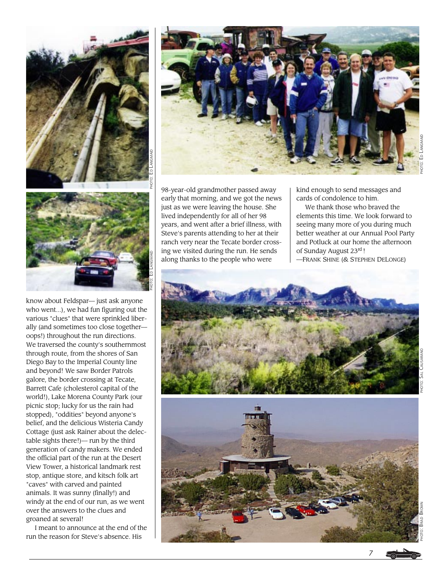

know about Feldspar— just ask anyone who went...), we had fun figuring out the various "clues" that were sprinkled liberally (and sometimes too close together oops!) throughout the run directions. We traversed the county's southernmost through route, from the shores of San Diego Bay to the Imperial County line and beyond! We saw Border Patrols galore, the border crossing at Tecate, Barrett Cafe (cholesterol capital of the world!), Lake Morena County Park (our picnic stop; lucky for us the rain had stopped), "oddities" beyond anyone's belief, and the delicious Wisteria Candy Cottage (just ask Rainer about the delectable sights there!)— run by the third generation of candy makers. We ended the official part of the run at the Desert View Tower, a historical landmark rest stop, antique store, and kitsch folk art "caves" with carved and painted animals. It was sunny (finally!) and windy at the end of our run, as we went over the answers to the clues and groaned at several!

I meant to announce at the end of the run the reason for Steve's absence. His



98-year-old grandmother passed away early that morning, and we got the news just as we were leaving the house. She lived independently for all of her 98 years, and went after a brief illness, with Steve's parents attending to her at their ranch very near the Tecate border crossing we visited during the run. He sends along thanks to the people who were

kind enough to send messages and cards of condolence to him.

We thank those who braved the elements this time. We look forward to seeing many more of you during much better weather at our Annual Pool Party and Potluck at our home the afternoon of Sunday August 23rd !

—FRANK SHINE (& STEPHEN DELONGE)





*7*

PHOTO: BRAD BROWN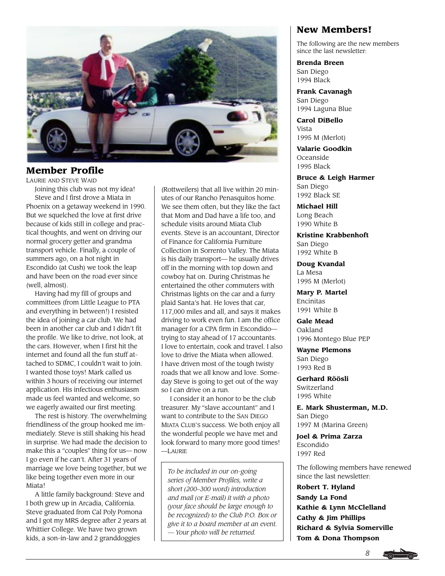

# **Member Profile**

LAURIE AND STEVE WAID

Joining this club was not my idea! Steve and I first drove a Miata in Phoenix on a getaway weekend in 1990. But we squelched the love at first drive because of kids still in college and practical thoughts, and went on driving our normal grocery getter and grandma transport vehicle. Finally, a couple of summers ago, on a hot night in Escondido (at Cush) we took the leap and have been on the road ever since (well, almost).

Having had my fill of groups and committees (from Little League to PTA and everything in between!) I resisted the idea of joining a car club. We had been in another car club and I didn't fit the profile. We like to drive, not look, at the cars. However, when I first hit the internet and found all the fun stuff attached to SDMC, I couldn't wait to join. I wanted those toys! Mark called us within 3 hours of receiving our internet application. His infectious enthusiasm made us feel wanted and welcome, so we eagerly awaited our first meeting.

The rest is history. The overwhelming friendliness of the group hooked me immediately. Steve is still shaking his head in surprise. We had made the decision to make this a "couples" thing for us— now I go even if he can't. After 31 years of marriage we love being together, but we like being together even more in our Miata!

A little family background: Steve and I both grew up in Arcadia, California. Steve graduated from Cal Poly Pomona and I got my MRS degree after 2 years at Whittier College. We have two grown kids, a son-in-law and 2 granddoggies

(Rottweilers) that all live within 20 minutes of our Rancho Penasquitos home. We see them often, but they like the fact that Mom and Dad have a life too, and schedule visits around Miata Club events. Steve is an accountant, Director of Finance for California Furniture Collection in Sorrento Valley. The Miata is his daily transport— he usually drives off in the morning with top down and cowboy hat on. During Christmas he entertained the other commuters with Christmas lights on the car and a furry plaid Santa's hat. He loves that car, 117,000 miles and all, and says it makes driving to work even fun. I am the office manager for a CPA firm in Escondido trying to stay ahead of 17 accountants. I love to entertain, cook and travel. I also love to drive the Miata when allowed. I have driven most of the tough twisty roads that we all know and love. Someday Steve is going to get out of the way so I can drive on a run.

I consider it an honor to be the club treasurer. My "slave accountant" and I want to contribute to the SAN DIEGO MIATA CLUB'S success. We both enjoy all the wonderful people we have met and look forward to many more good times! —LAURIE

*To be included in our on-going series of Member Profiles, write a short (200–300 word) introduction and mail (or E-mail) it with a photo (your face should be large enough to be recognized) to the Club P.O. Box or give it to a board member at an event. — Your photo will be returned.*

# **New Members!**

The following are the new members since the last newsletter:

**Brenda Breen** San Diego 1994 Black

**Frank Cavanagh** San Diego 1994 Laguna Blue

**Carol DiBello** Vista 1995 M (Merlot)

**Valarie Goodkin** Oceanside 1995 Black

**Bruce & Leigh Harmer** San Diego 1992 Black SE

**Michael Hill** Long Beach 1990 White B

**Kristine Krabbenhoft** San Diego 1992 White B

**Doug Kvandal** La Mesa 1995 M (Merlot)

**Mary P. Martel** Encinitas 1991 White B

**Gale Mead** Oakland 1996 Montego Blue PEP

**Wayne Plemons** San Diego 1993 Red B

**Gerhard Röösli** Switzerland 1995 White

**E. Mark Shusterman, M.D.** San Diego 1997 M (Marina Green)

**Joel & Prima Zarza** Escondido 1997 Red

The following members have renewed since the last newsletter:

**Robert T. Hyland Sandy La Fond Kathie & Lynn McClelland Cathy & Jim Phillips Richard & Sylvia Somerville Tom & Dona Thompson**